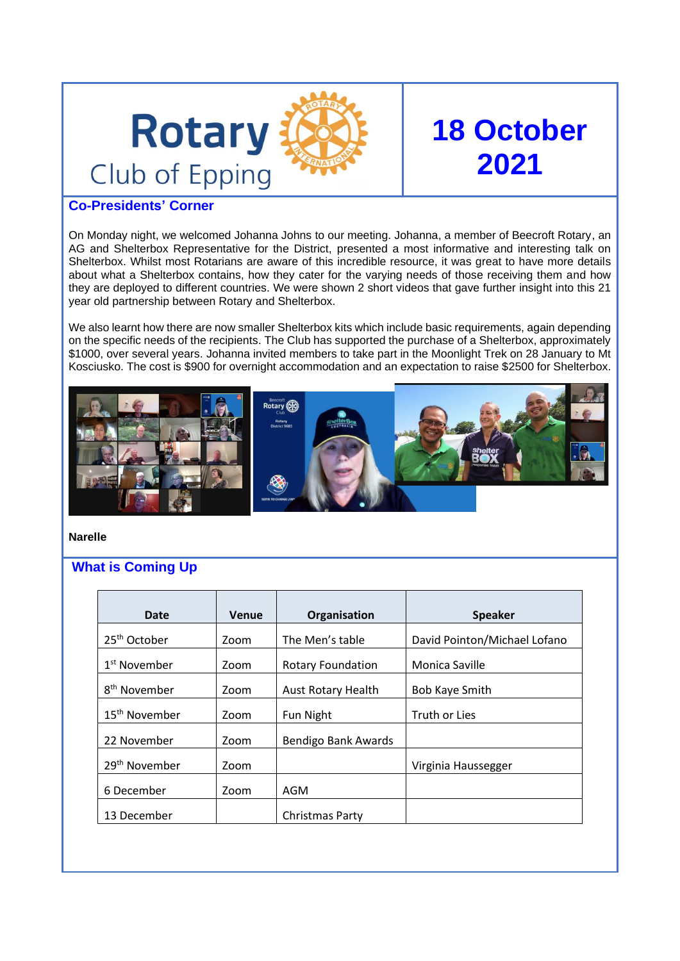

# **18 October 2021**

# **Co-Presidents' Corner**

On Monday night, we welcomed Johanna Johns to our meeting. Johanna, a member of Beecroft Rotary, an AG and Shelterbox Representative for the District, presented a most informative and interesting talk on Shelterbox. Whilst most Rotarians are aware of this incredible resource, it was great to have more details about what a Shelterbox contains, how they cater for the varying needs of those receiving them and how they are deployed to different countries. We were shown 2 short videos that gave further insight into this 21 year old partnership between Rotary and Shelterbox.

We also learnt how there are now smaller Shelterbox kits which include basic requirements, again depending on the specific needs of the recipients. The Club has supported the purchase of a Shelterbox, approximately \$1000, over several years. Johanna invited members to take part in the Moonlight Trek on 28 January to Mt Kosciusko. The cost is \$900 for overnight accommodation and an expectation to raise \$2500 for Shelterbox.



**Narelle**

# **What is Coming Up**

| <b>Date</b>               | Venue | Organisation              | <b>Speaker</b>               |
|---------------------------|-------|---------------------------|------------------------------|
| 25 <sup>th</sup> October  | Zoom  | The Men's table           | David Pointon/Michael Lofano |
| 1 <sup>st</sup> November  | Zoom  | <b>Rotary Foundation</b>  | Monica Saville               |
| 8 <sup>th</sup> November  | Zoom  | <b>Aust Rotary Health</b> | <b>Bob Kaye Smith</b>        |
| 15 <sup>th</sup> November | Zoom  | Fun Night                 | Truth or Lies                |
| 22 November               | Zoom  | Bendigo Bank Awards       |                              |
| 29 <sup>th</sup> November | Zoom  |                           | Virginia Haussegger          |
| 6 December                | Zoom  | AGM                       |                              |
| 13 December               |       | Christmas Party           |                              |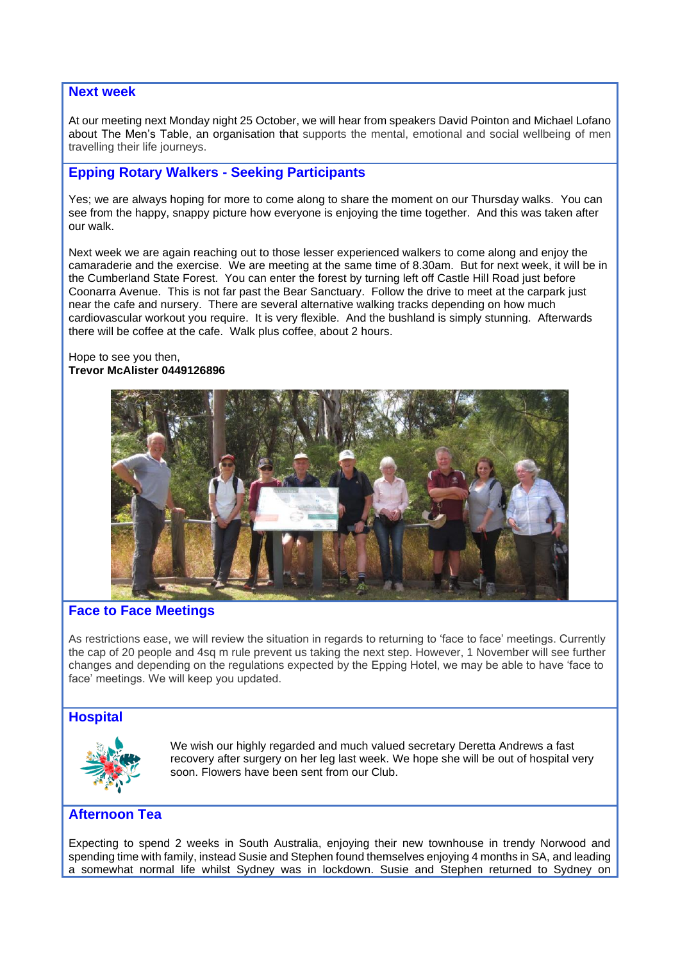#### **Next week**

At our meeting next Monday night 25 October, we will hear from speakers David Pointon and Michael Lofano about The Men's Table, an organisation that supports the mental, emotional and social wellbeing of men travelling their life journeys.

# **Epping Rotary Walkers - Seeking Participants**

Yes; we are always hoping for more to come along to share the moment on our Thursday walks. You can see from the happy, snappy picture how everyone is enjoying the time together. And this was taken after our walk.

Next week we are again reaching out to those lesser experienced walkers to come along and enjoy the camaraderie and the exercise. We are meeting at the same time of 8.30am. But for next week, it will be in the Cumberland State Forest. You can enter the forest by turning left off Castle Hill Road just before Coonarra Avenue. This is not far past the Bear Sanctuary. Follow the drive to meet at the carpark just near the cafe and nursery. There are several alternative walking tracks depending on how much cardiovascular workout you require. It is very flexible. And the bushland is simply stunning. Afterwards there will be coffee at the cafe. Walk plus coffee, about 2 hours.

#### Hope to see you then, **Trevor McAlister 0449126896**



## **Face to Face Meetings**

As restrictions ease, we will review the situation in regards to returning to 'face to face' meetings. Currently the cap of 20 people and 4sq m rule prevent us taking the next step. However, 1 November will see further changes and depending on the regulations expected by the Epping Hotel, we may be able to have 'face to face' meetings. We will keep you updated.

## **Hospital**



We wish our highly regarded and much valued secretary Deretta Andrews a fast recovery after surgery on her leg last week. We hope she will be out of hospital very soon. Flowers have been sent from our Club.

## **Afternoon Tea**

Expecting to spend 2 weeks in South Australia, enjoying their new townhouse in trendy Norwood and spending time with family, instead Susie and Stephen found themselves enjoying 4 months in SA, and leading a somewhat normal life whilst Sydney was in lockdown. Susie and Stephen returned to Sydney on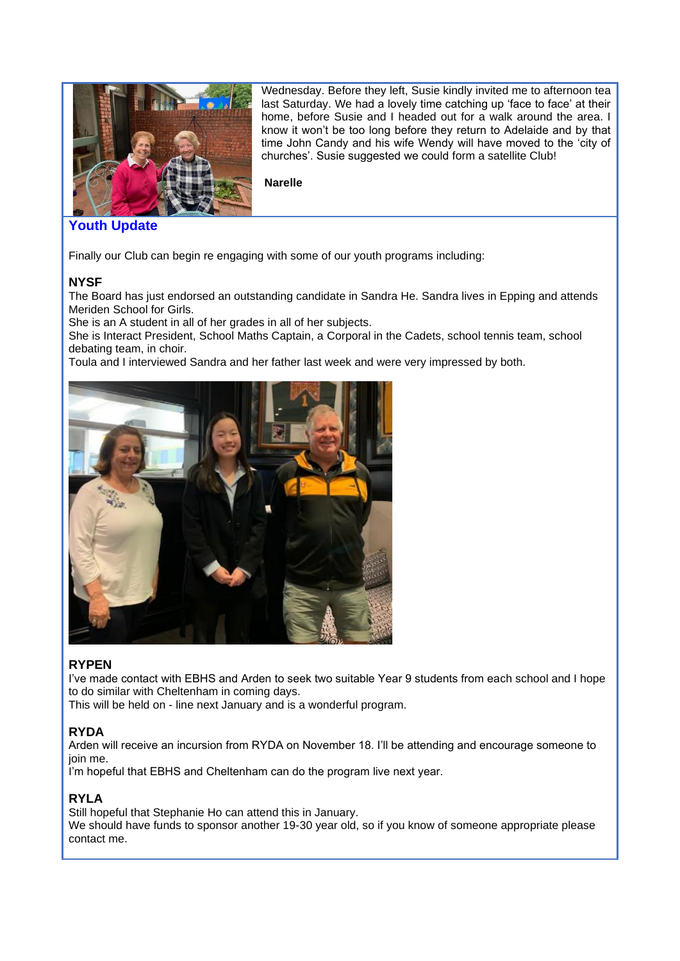

Wednesday. Before they left, Susie kindly invited me to afternoon tea last Saturday. We had a lovely time catching up 'face to face' at their home, before Susie and I headed out for a walk around the area. I know it won't be too long before they return to Adelaide and by that time John Candy and his wife Wendy will have moved to the 'city of churches'. Susie suggested we could form a satellite Club!

**Narelle**

# **Youth Update**

Finally our Club can begin re engaging with some of our youth programs including:

## **NYSF**

The Board has just endorsed an outstanding candidate in Sandra He. Sandra lives in Epping and attends Meriden School for Girls.

She is an A student in all of her grades in all of her subjects.

She is Interact President, School Maths Captain, a Corporal in the Cadets, school tennis team, school debating team, in choir.

Toula and I interviewed Sandra and her father last week and were very impressed by both.



# **RYPEN**

I've made contact with EBHS and Arden to seek two suitable Year 9 students from each school and I hope to do similar with Cheltenham in coming days.

This will be held on - line next January and is a wonderful program.

# **RYDA**

Arden will receive an incursion from RYDA on November 18. I'll be attending and encourage someone to join me.

I'm hopeful that EBHS and Cheltenham can do the program live next year.

# **RYLA**

Still hopeful that Stephanie Ho can attend this in January.

We should have funds to sponsor another 19-30 year old, so if you know of someone appropriate please contact me.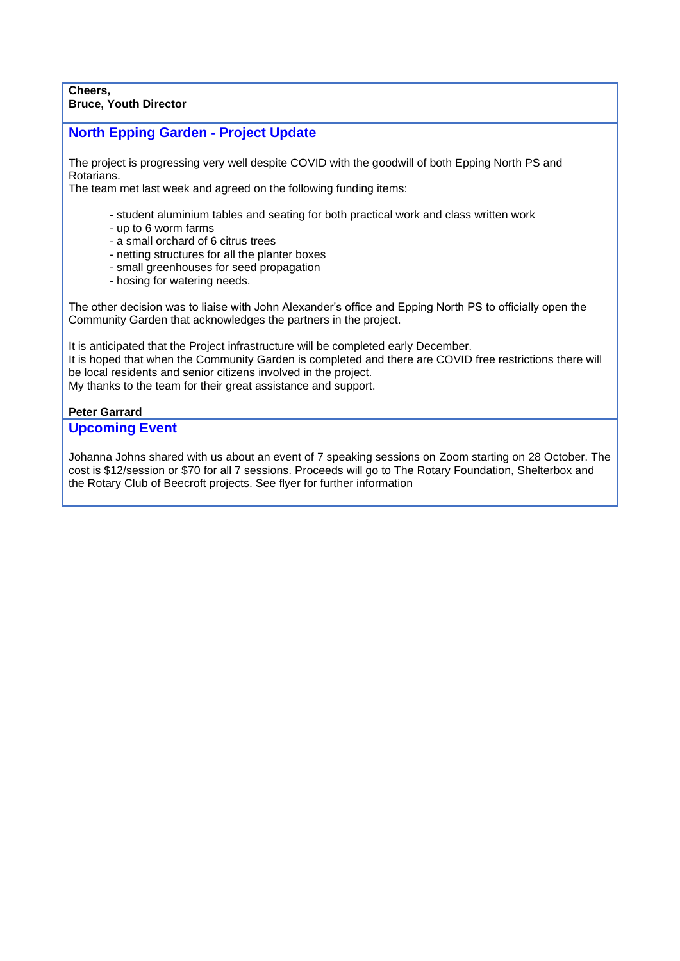#### **Cheers, Bruce, Youth Director**

# **North Epping Garden - Project Update**

The project is progressing very well despite COVID with the goodwill of both Epping North PS and Rotarians.

The team met last week and agreed on the following funding items:

- student aluminium tables and seating for both practical work and class written work
- up to 6 worm farms
- a small orchard of 6 citrus trees
- netting structures for all the planter boxes
- small greenhouses for seed propagation
- hosing for watering needs.

The other decision was to liaise with John Alexander's office and Epping North PS to officially open the Community Garden that acknowledges the partners in the project.

It is anticipated that the Project infrastructure will be completed early December. It is hoped that when the Community Garden is completed and there are COVID free restrictions there will be local residents and senior citizens involved in the project. My thanks to the team for their great assistance and support.

## **Peter Garrard**

#### **Upcoming Event**

Johanna Johns shared with us about an event of 7 speaking sessions on Zoom starting on 28 October. The cost is \$12/session or \$70 for all 7 sessions. Proceeds will go to The Rotary Foundation, Shelterbox and the Rotary Club of Beecroft projects. See flyer for further information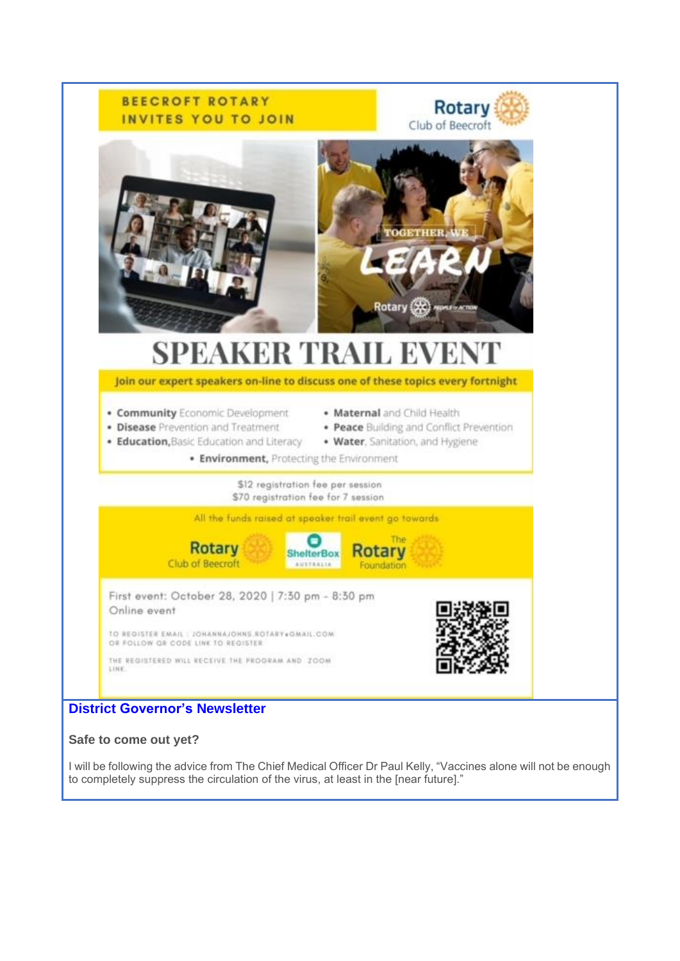

## **Safe to come out yet?**

I will be following the advice from The Chief Medical Officer Dr Paul Kelly, "Vaccines alone will not be enough to completely suppress the circulation of the virus, at least in the [near future]."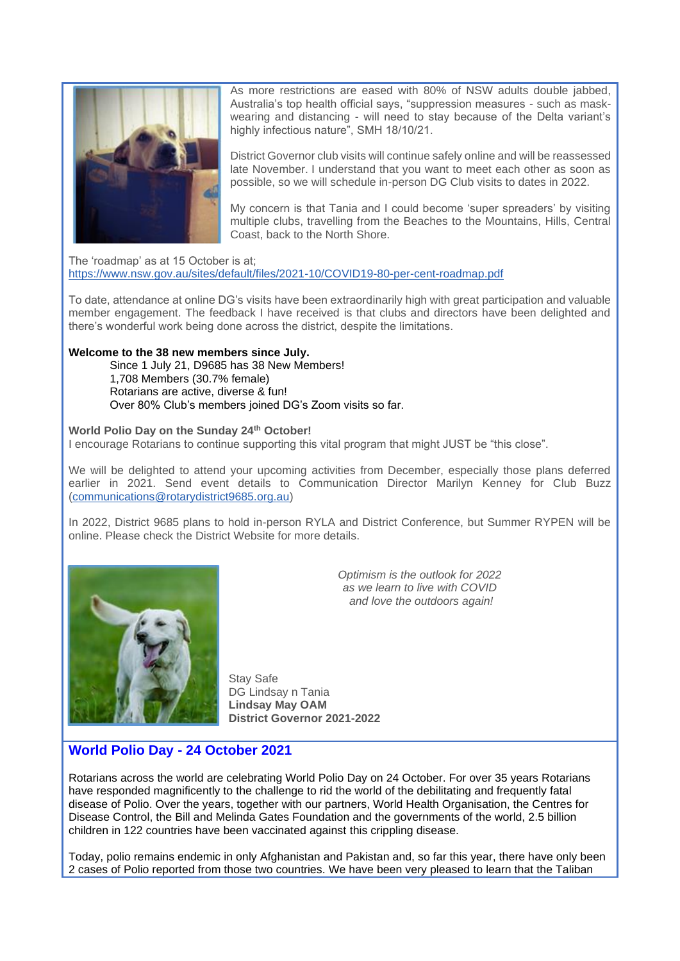

As more restrictions are eased with 80% of NSW adults double jabbed, Australia's top health official says, "suppression measures - such as maskwearing and distancing - will need to stay because of the Delta variant's highly infectious nature", SMH 18/10/21.

District Governor club visits will continue safely online and will be reassessed late November. I understand that you want to meet each other as soon as possible, so we will schedule in-person DG Club visits to dates in 2022.

My concern is that Tania and I could become 'super spreaders' by visiting multiple clubs, travelling from the Beaches to the Mountains, Hills, Central Coast, back to the North Shore.

The 'roadmap' as at 15 October is at; <https://www.nsw.gov.au/sites/default/files/2021-10/COVID19-80-per-cent-roadmap.pdf>

To date, attendance at online DG's visits have been extraordinarily high with great participation and valuable member engagement. The feedback I have received is that clubs and directors have been delighted and there's wonderful work being done across the district, despite the limitations.

#### **Welcome to the 38 new members since July.**

Since 1 July 21, D9685 has 38 New Members! 1,708 Members (30.7% female) Rotarians are active, diverse & fun! Over 80% Club's members joined DG's Zoom visits so far.

**World Polio Day on the Sunday 24th October!**

I encourage Rotarians to continue supporting this vital program that might JUST be "this close".

We will be delighted to attend your upcoming activities from December, especially those plans deferred earlier in 2021. Send event details to Communication Director Marilyn Kenney for Club Buzz [\(communications@rotarydistrict9685.org.au\)](mailto:communications@rotarydistrict9685.org.au)

In 2022, District 9685 plans to hold in-person RYLA and District Conference, but Summer RYPEN will be online. Please check the District Website for more details.



*Optimism is the outlook for 2022 as we learn to live with COVID and love the outdoors again!*

Stay Safe DG Lindsay n Tania **Lindsay May OAM District Governor 2021-2022**

# **World Polio Day - 24 October 2021**

Rotarians across the world are celebrating World Polio Day on 24 October. For over 35 years Rotarians have responded magnificently to the challenge to rid the world of the debilitating and frequently fatal disease of Polio. Over the years, together with our partners, World Health Organisation, the Centres for Disease Control, the Bill and Melinda Gates Foundation and the governments of the world, 2.5 billion children in 122 countries have been vaccinated against this crippling disease.

Today, polio remains endemic in only Afghanistan and Pakistan and, so far this year, there have only been 2 cases of Polio reported from those two countries. We have been very pleased to learn that the Taliban